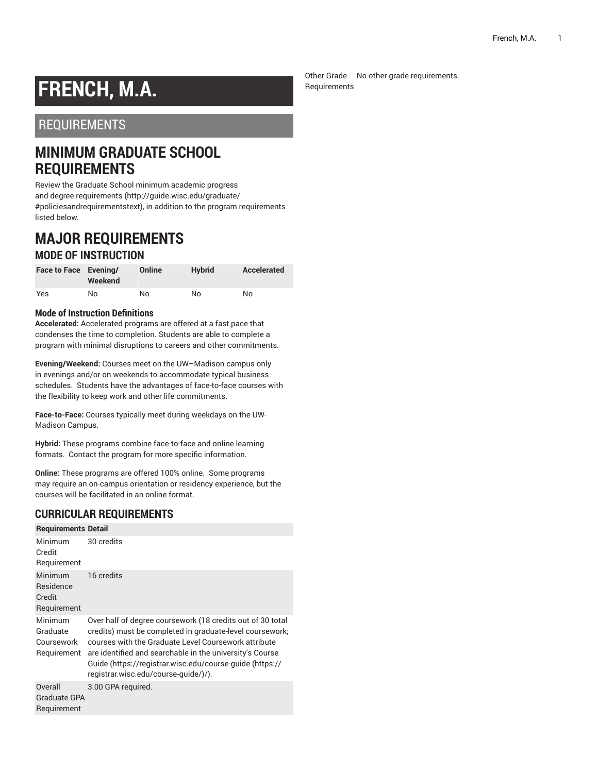# **FRENCH, M.A.**

## REQUIREMENTS

## **MINIMUM GRADUATE SCHOOL REQUIREMENTS**

Review the Graduate School minimum [academic](http://guide.wisc.edu/graduate/#policiesandrequirementstext) progress and degree [requirements](http://guide.wisc.edu/graduate/#policiesandrequirementstext) [\(http://guide.wisc.edu/graduate/](http://guide.wisc.edu/graduate/#policiesandrequirementstext) [#policiesandrequirementstext\)](http://guide.wisc.edu/graduate/#policiesandrequirementstext), in addition to the program requirements listed below.

### **MAJOR REQUIREMENTS MODE OF INSTRUCTION**

| Face to Face Evening/ | Weekend | Online | <b>Hybrid</b> | Accelerated |
|-----------------------|---------|--------|---------------|-------------|
| Yes                   | No      | No     | No            | No          |

#### **Mode of Instruction Definitions**

**Accelerated:** Accelerated programs are offered at a fast pace that condenses the time to completion. Students are able to complete a program with minimal disruptions to careers and other commitments.

**Evening/Weekend:** Courses meet on the UW–Madison campus only in evenings and/or on weekends to accommodate typical business schedules. Students have the advantages of face-to-face courses with the flexibility to keep work and other life commitments.

**Face-to-Face:** Courses typically meet during weekdays on the UW-Madison Campus.

**Hybrid:** These programs combine face-to-face and online learning formats. Contact the program for more specific information.

**Online:** These programs are offered 100% online. Some programs may require an on-campus orientation or residency experience, but the courses will be facilitated in an online format.

#### **CURRICULAR REQUIREMENTS**

| <b>Requirements Detail</b>                       |                                                                                                                                                                                                                                                                                                                                                |
|--------------------------------------------------|------------------------------------------------------------------------------------------------------------------------------------------------------------------------------------------------------------------------------------------------------------------------------------------------------------------------------------------------|
| Minimum<br>Credit<br>Requirement                 | 30 credits                                                                                                                                                                                                                                                                                                                                     |
| Minimum<br>Residence<br>Credit<br>Requirement    | 16 credits                                                                                                                                                                                                                                                                                                                                     |
| Minimum<br>Graduate<br>Coursework<br>Requirement | Over half of degree coursework (18 credits out of 30 total<br>credits) must be completed in graduate-level coursework;<br>courses with the Graduate Level Coursework attribute<br>are identified and searchable in the university's Course<br>Guide (https://registrar.wisc.edu/course-guide (https://<br>registrar.wisc.edu/course-guide/)/). |
| Overall<br>Graduate GPA<br>Requirement           | 3.00 GPA required.                                                                                                                                                                                                                                                                                                                             |

Other Grade No other grade requirements.Requirements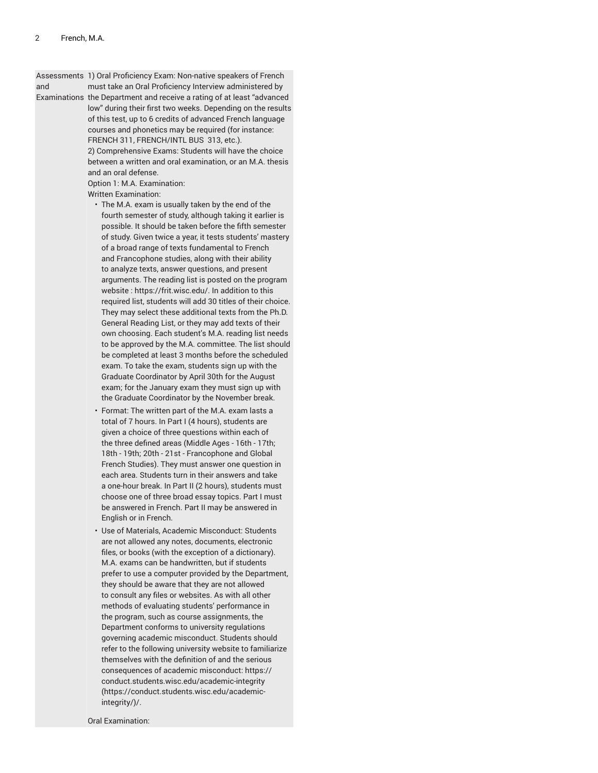Assessments 1) Oral Proficiency Exam: Non-native speakers of French

and must take an Oral Proficiency Interview administered by

Examinations the Department and receive a rating of at least "advanced low" during their first two weeks. Depending on the results of this test, up to 6 credits of advanced French language courses and phonetics may be required (for instance: FRENCH 311, FRENCH/INTL BUS 313, etc.). 2) Comprehensive Exams: Students will have the choice between a written and oral examination, or an M.A. thesis and an oral defense.

Option 1: M.A. Examination:

Written Examination:

- The M.A. exam is usually taken by the end of the fourth semester of study, although taking it earlier is possible. It should be taken before the fifth semester of study. Given twice a year, it tests students' mastery of a broad range of texts fundamental to French and Francophone studies, along with their ability to analyze texts, answer questions, and present arguments. The reading list is posted on the program website : [https://frit.wisc.edu/](https://frit.wisc.edu). In addition to this required list, students will add 30 titles of their choice. They may select these additional texts from the Ph.D. General Reading List, or they may add texts of their own choosing. Each student's M.A. reading list needs to be approved by the M.A. committee. The list should be completed at least 3 months before the scheduled exam. To take the exam, students sign up with the Graduate Coordinator by April 30th for the August exam; for the January exam they must sign up with the Graduate Coordinator by the November break.
- Format: The written part of the M.A. exam lasts a total of 7 hours. In Part I (4 hours), students are given a choice of three questions within each of the three defined areas (Middle Ages - 16th - 17th; 18th - 19th; 20th - 21st - Francophone and Global French Studies). They must answer one question in each area. Students turn in their answers and take a one-hour break. In Part II (2 hours), students must choose one of three broad essay topics. Part I must be answered in French. Part II may be answered in English or in French.
- Use of Materials, Academic Misconduct: Students are not allowed any notes, documents, electronic files, or books (with the exception of a dictionary). M.A. exams can be handwritten, but if students prefer to use a computer provided by the Department, they should be aware that they are not allowed to consult any files or websites. As with all other methods of evaluating students' performance in the program, such as course assignments, the Department conforms to university regulations governing academic misconduct. Students should refer to the following university website to familiarize themselves with the definition of and the serious consequences of academic misconduct: [https://](https://conduct.students.wisc.edu/academic-integrity/) [conduct.students.wisc.edu/academic-integrity](https://conduct.students.wisc.edu/academic-integrity/) ([https://conduct.students.wisc.edu/academic](https://conduct.students.wisc.edu/academic-integrity/)[integrity/\)](https://conduct.students.wisc.edu/academic-integrity/)/.

Oral Examination: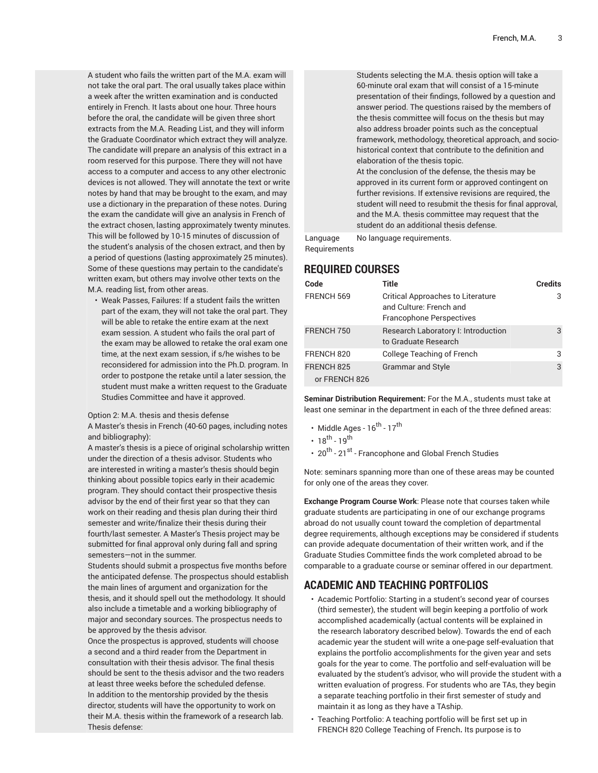A student who fails the written part of the M.A. exam will not take the oral part. The oral usually takes place within a week after the written examination and is conducted entirely in French. It lasts about one hour. Three hours before the oral, the candidate will be given three short extracts from the M.A. Reading List, and they will inform the Graduate Coordinator which extract they will analyze. The candidate will prepare an analysis of this extract in a room reserved for this purpose. There they will not have access to a computer and access to any other electronic devices is not allowed. They will annotate the text or write notes by hand that may be brought to the exam, and may use a dictionary in the preparation of these notes. During the exam the candidate will give an analysis in French of the extract chosen, lasting approximately twenty minutes. This will be followed by 10-15 minutes of discussion of the student's analysis of the chosen extract, and then by a period of questions (lasting approximately 25 minutes). Some of these questions may pertain to the candidate's written exam, but others may involve other texts on the M.A. reading list, from other areas.

• Weak Passes, Failures: If a student fails the written part of the exam, they will not take the oral part. They will be able to retake the entire exam at the next exam session. A student who fails the oral part of the exam may be allowed to retake the oral exam one time, at the next exam session, if s/he wishes to be reconsidered for admission into the Ph.D. program. In order to postpone the retake until a later session, the student must make a written request to the Graduate Studies Committee and have it approved.

#### Option 2: M.A. thesis and thesis defense

A Master's thesis in French (40-60 pages, including notes and bibliography):

A master's thesis is a piece of original scholarship written under the direction of a thesis advisor. Students who are interested in writing a master's thesis should begin thinking about possible topics early in their academic program. They should contact their prospective thesis advisor by the end of their first year so that they can work on their reading and thesis plan during their third semester and write/finalize their thesis during their fourth/last semester. A Master's Thesis project may be submitted for final approval only during fall and spring semesters—not in the summer.

Students should submit a prospectus five months before the anticipated defense. The prospectus should establish the main lines of argument and organization for the thesis, and it should spell out the methodology. It should also include a timetable and a working bibliography of major and secondary sources. The prospectus needs to be approved by the thesis advisor.

Once the prospectus is approved, students will choose a second and a third reader from the Department in consultation with their thesis advisor. The final thesis should be sent to the thesis advisor and the two readers at least three weeks before the scheduled defense. In addition to the mentorship provided by the thesis director, students will have the opportunity to work on their M.A. thesis within the framework of a research lab. Thesis defense:

Students selecting the M.A. thesis option will take a 60-minute oral exam that will consist of a 15-minute presentation of their findings, followed by a question and answer period. The questions raised by the members of the thesis committee will focus on the thesis but may also address broader points such as the conceptual framework, methodology, theoretical approach, and sociohistorical context that contribute to the definition and elaboration of the thesis topic. At the conclusion of the defense, the thesis may be approved in its current form or approved contingent on further revisions. If extensive revisions are required, the student will need to resubmit the thesis for final approval, and the M.A. thesis committee may request that the student do an additional thesis defense.

Language **Requirements** No language requirements.

#### **REQUIRED COURSES**

| Code                                   | Title                                                                                                  | <b>Credits</b> |
|----------------------------------------|--------------------------------------------------------------------------------------------------------|----------------|
| FRENCH 569                             | <b>Critical Approaches to Literature</b><br>and Culture: French and<br><b>Francophone Perspectives</b> | 3              |
| FRENCH 750                             | Research Laboratory I: Introduction<br>to Graduate Research                                            | 3              |
| FRENCH 820                             | College Teaching of French                                                                             | 3              |
| FRENCH <sub>825</sub><br>or FRENCH 826 | <b>Grammar and Style</b>                                                                               | 3              |

**Seminar Distribution Requirement:** For the M.A., students must take at least one seminar in the department in each of the three defined areas:

- Middle Ages  $16^{\text{th}}$   $17^{\text{th}}$
- $18^{th} 19^{th}$
- 20<sup>th</sup> 21<sup>st</sup> Francophone and Global French Studies

Note: seminars spanning more than one of these areas may be counted for only one of the areas they cover.

**Exchange Program Course Work**: Please note that courses taken while graduate students are participating in one of our exchange programs abroad do not usually count toward the completion of departmental degree requirements, although exceptions may be considered if students can provide adequate documentation of their written work, and if the Graduate Studies Committee finds the work completed abroad to be comparable to a graduate course or seminar offered in our department.

#### **ACADEMIC AND TEACHING PORTFOLIOS**

- Academic Portfolio: Starting in a student's second year of courses (third semester), the student will begin keeping a portfolio of work accomplished academically (actual contents will be explained in the research laboratory described below). Towards the end of each academic year the student will write a one-page self-evaluation that explains the portfolio accomplishments for the given year and sets goals for the year to come. The portfolio and self-evaluation will be evaluated by the student's advisor, who will provide the student with a written evaluation of progress. For students who are TAs, they begin a separate teaching portfolio in their first semester of study and maintain it as long as they have a TAship.
- Teaching Portfolio: A teaching portfolio will be first set up in FRENCH 820 College Teaching of French**.** Its purpose is to